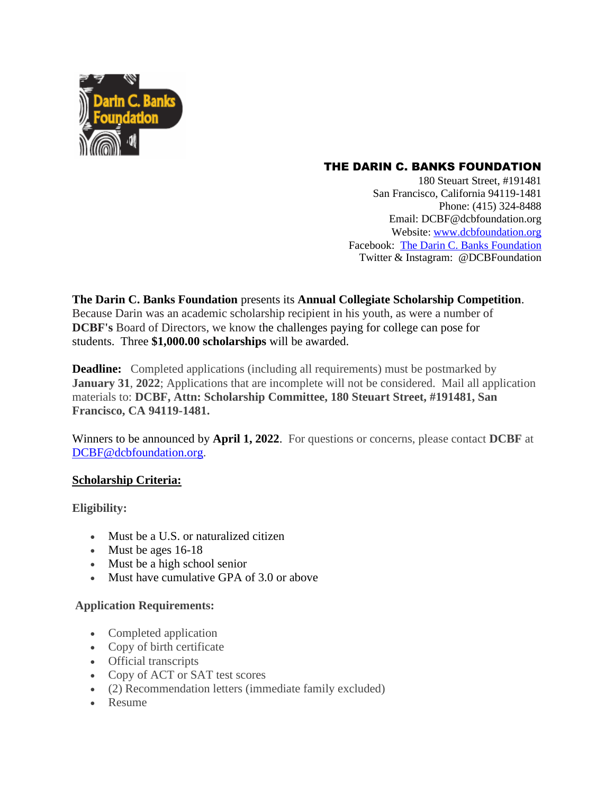

## THE DARIN C. BANKS FOUNDATION

180 Steuart Street, #191481 San Francisco, California 94119-1481 Phone: (415) 324-8488 Email: DCBF@dcbfoundation.org Website: [www.dcbfoundation.org](http://www.dcbfoundation.org/) Facebook: [The Darin C. Banks Foundation](https://www.facebook.com/TheDarinCBanksFoundation) Twitter & Instagram: @DCBFoundation

**The Darin C. Banks Foundation** presents its **Annual Collegiate Scholarship Competition**. Because Darin was an academic scholarship recipient in his youth, as were a number of **DCBF's** Board of Directors, we know the challenges paying for college can pose for students. Three **\$1,000.00 scholarships** will be awarded.

**Deadline:** Completed applications (including all requirements) must be postmarked by **January 31, 2022**; Applications that are incomplete will not be considered. Mail all application materials to: **DCBF, Attn: Scholarship Committee, 180 Steuart Street, #191481, San Francisco, CA 94119-1481.**

Winners to be announced by **April 1, 2022**. For questions or concerns, please contact **DCBF** at [DCBF@dcbfoundation.org.](mailto:DCBF@dcbfoundation.org)

## **Scholarship Criteria:**

**Eligibility:**

- Must be a U.S. or naturalized citizen
- Must be ages 16-18
- Must be a high school senior
- Must have cumulative GPA of 3.0 or above

## **Application Requirements:**

- Completed application
- Copy of birth certificate
- Official transcripts
- Copy of ACT or SAT test scores
- (2) Recommendation letters (immediate family excluded)
- Resume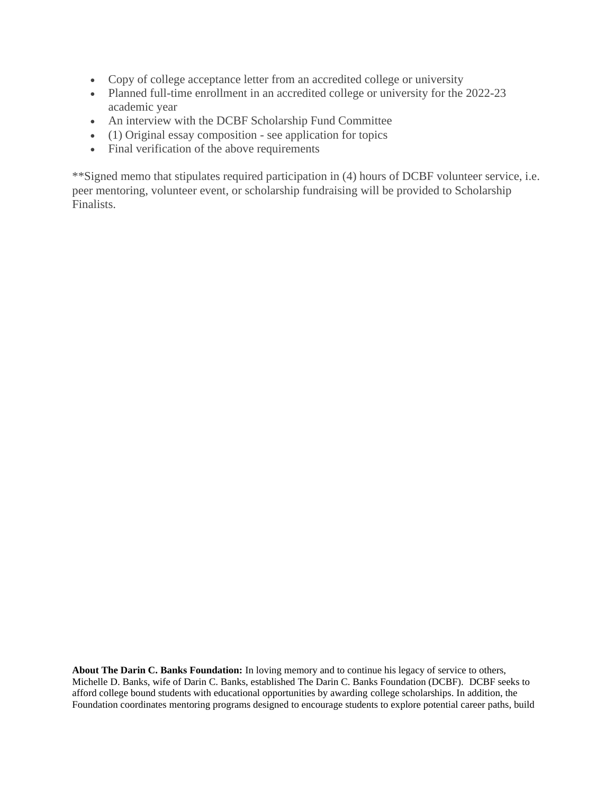- Copy of college acceptance letter from an accredited college or university
- Planned full-time enrollment in an accredited college or university for the 2022-23 academic year
- An interview with the DCBF Scholarship Fund Committee
- (1) Original essay composition see application for topics
- Final verification of the above requirements

\*\*Signed memo that stipulates required participation in (4) hours of DCBF volunteer service, i.e. peer mentoring, volunteer event, or scholarship fundraising will be provided to Scholarship Finalists.

**About The Darin C. Banks Foundation:** In loving memory and to continue his legacy of service to others, Michelle D. Banks, wife of Darin C. Banks, established The Darin C. Banks Foundation (DCBF). DCBF seeks to afford college bound students with educational opportunities by awarding college scholarships. In addition, the Foundation coordinates mentoring programs designed to encourage students to explore potential career paths, build